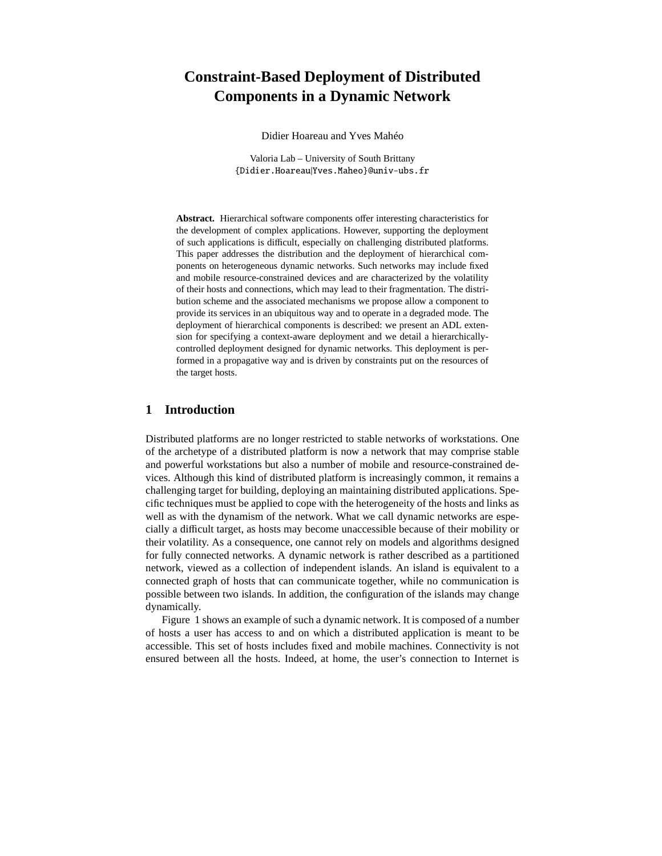# **Constraint-Based Deployment of Distributed Components in a Dynamic Network**

Didier Hoareau and Yves Mahéo

Valoria Lab – University of South Brittany {Didier.Hoareau|Yves.Maheo}@univ-ubs.fr

**Abstract.** Hierarchical software components offer interesting characteristics for the development of complex applications. However, supporting the deployment of such applications is difficult, especially on challenging distributed platforms. This paper addresses the distribution and the deployment of hierarchical components on heterogeneous dynamic networks. Such networks may include fixed and mobile resource-constrained devices and are characterized by the volatility of their hosts and connections, which may lead to their fragmentation. The distribution scheme and the associated mechanisms we propose allow a component to provide its services in an ubiquitous way and to operate in a degraded mode. The deployment of hierarchical components is described: we present an ADL extension for specifying a context-aware deployment and we detail a hierarchicallycontrolled deployment designed for dynamic networks. This deployment is performed in a propagative way and is driven by constraints put on the resources of the target hosts.

## **1 Introduction**

Distributed platforms are no longer restricted to stable networks of workstations. One of the archetype of a distributed platform is now a network that may comprise stable and powerful workstations but also a number of mobile and resource-constrained devices. Although this kind of distributed platform is increasingly common, it remains a challenging target for building, deploying an maintaining distributed applications. Specific techniques must be applied to cope with the heterogeneity of the hosts and links as well as with the dynamism of the network. What we call dynamic networks are especially a difficult target, as hosts may become unaccessible because of their mobility or their volatility. As a consequence, one cannot rely on models and algorithms designed for fully connected networks. A dynamic network is rather described as a partitioned network, viewed as a collection of independent islands. An island is equivalent to a connected graph of hosts that can communicate together, while no communication is possible between two islands. In addition, the configuration of the islands may change dynamically.

Figure 1 shows an example of such a dynamic network. It is composed of a number of hosts a user has access to and on which a distributed application is meant to be accessible. This set of hosts includes fixed and mobile machines. Connectivity is not ensured between all the hosts. Indeed, at home, the user's connection to Internet is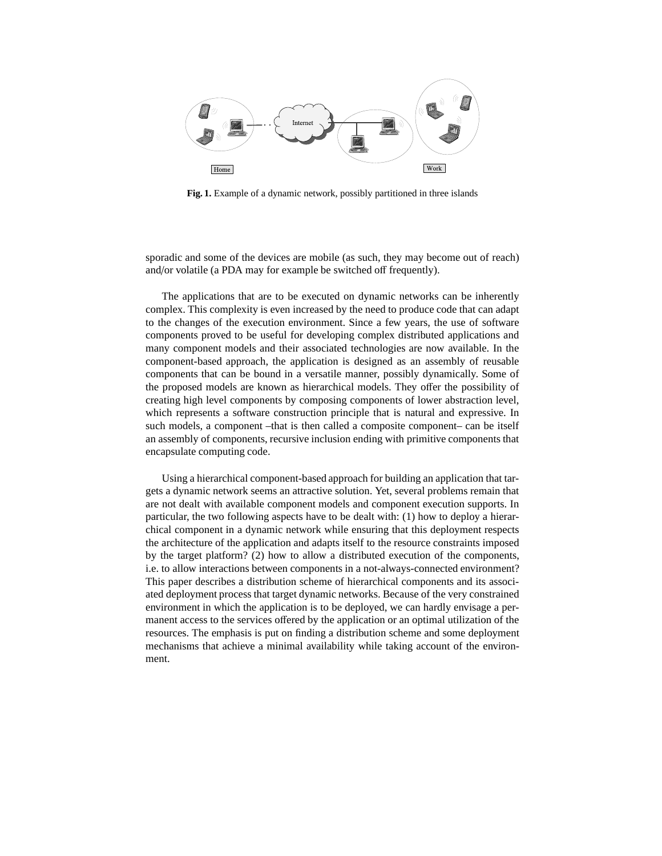

**Fig. 1.** Example of a dynamic network, possibly partitioned in three islands

sporadic and some of the devices are mobile (as such, they may become out of reach) and/or volatile (a PDA may for example be switched off frequently).

The applications that are to be executed on dynamic networks can be inherently complex. This complexity is even increased by the need to produce code that can adapt to the changes of the execution environment. Since a few years, the use of software components proved to be useful for developing complex distributed applications and many component models and their associated technologies are now available. In the component-based approach, the application is designed as an assembly of reusable components that can be bound in a versatile manner, possibly dynamically. Some of the proposed models are known as hierarchical models. They offer the possibility of creating high level components by composing components of lower abstraction level, which represents a software construction principle that is natural and expressive. In such models, a component –that is then called a composite component– can be itself an assembly of components, recursive inclusion ending with primitive components that encapsulate computing code.

Using a hierarchical component-based approach for building an application that targets a dynamic network seems an attractive solution. Yet, several problems remain that are not dealt with available component models and component execution supports. In particular, the two following aspects have to be dealt with: (1) how to deploy a hierarchical component in a dynamic network while ensuring that this deployment respects the architecture of the application and adapts itself to the resource constraints imposed by the target platform? (2) how to allow a distributed execution of the components, i.e. to allow interactions between components in a not-always-connected environment? This paper describes a distribution scheme of hierarchical components and its associated deployment process that target dynamic networks. Because of the very constrained environment in which the application is to be deployed, we can hardly envisage a permanent access to the services offered by the application or an optimal utilization of the resources. The emphasis is put on finding a distribution scheme and some deployment mechanisms that achieve a minimal availability while taking account of the environment.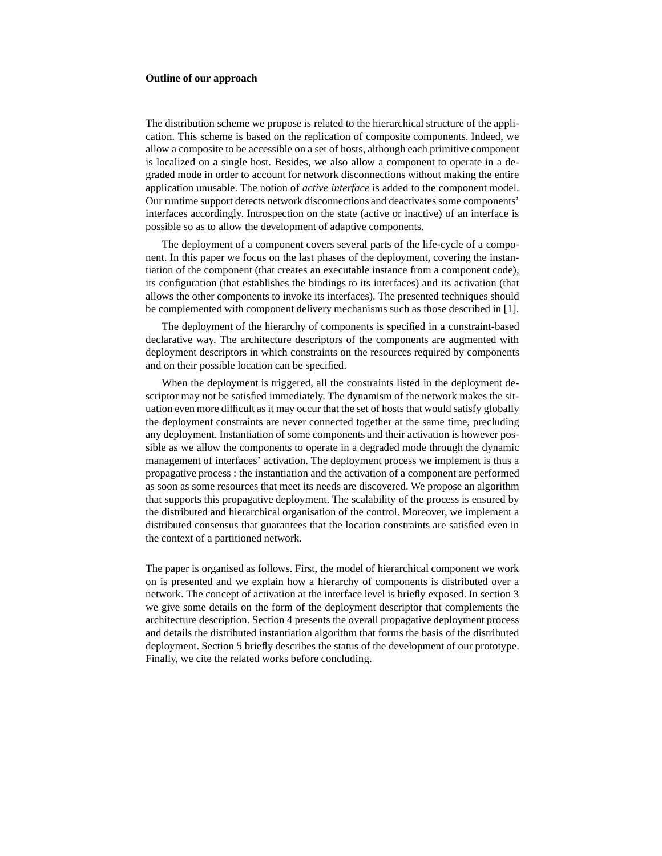#### **Outline of our approach**

The distribution scheme we propose is related to the hierarchical structure of the application. This scheme is based on the replication of composite components. Indeed, we allow a composite to be accessible on a set of hosts, although each primitive component is localized on a single host. Besides, we also allow a component to operate in a degraded mode in order to account for network disconnections without making the entire application unusable. The notion of *active interface* is added to the component model. Our runtime support detects network disconnections and deactivates some components' interfaces accordingly. Introspection on the state (active or inactive) of an interface is possible so as to allow the development of adaptive components.

The deployment of a component covers several parts of the life-cycle of a component. In this paper we focus on the last phases of the deployment, covering the instantiation of the component (that creates an executable instance from a component code), its configuration (that establishes the bindings to its interfaces) and its activation (that allows the other components to invoke its interfaces). The presented techniques should be complemented with component delivery mechanisms such as those described in [1].

The deployment of the hierarchy of components is specified in a constraint-based declarative way. The architecture descriptors of the components are augmented with deployment descriptors in which constraints on the resources required by components and on their possible location can be specified.

When the deployment is triggered, all the constraints listed in the deployment descriptor may not be satisfied immediately. The dynamism of the network makes the situation even more difficult as it may occur that the set of hosts that would satisfy globally the deployment constraints are never connected together at the same time, precluding any deployment. Instantiation of some components and their activation is however possible as we allow the components to operate in a degraded mode through the dynamic management of interfaces' activation. The deployment process we implement is thus a propagative process : the instantiation and the activation of a component are performed as soon as some resources that meet its needs are discovered. We propose an algorithm that supports this propagative deployment. The scalability of the process is ensured by the distributed and hierarchical organisation of the control. Moreover, we implement a distributed consensus that guarantees that the location constraints are satisfied even in the context of a partitioned network.

The paper is organised as follows. First, the model of hierarchical component we work on is presented and we explain how a hierarchy of components is distributed over a network. The concept of activation at the interface level is briefly exposed. In section 3 we give some details on the form of the deployment descriptor that complements the architecture description. Section 4 presents the overall propagative deployment process and details the distributed instantiation algorithm that forms the basis of the distributed deployment. Section 5 briefly describes the status of the development of our prototype. Finally, we cite the related works before concluding.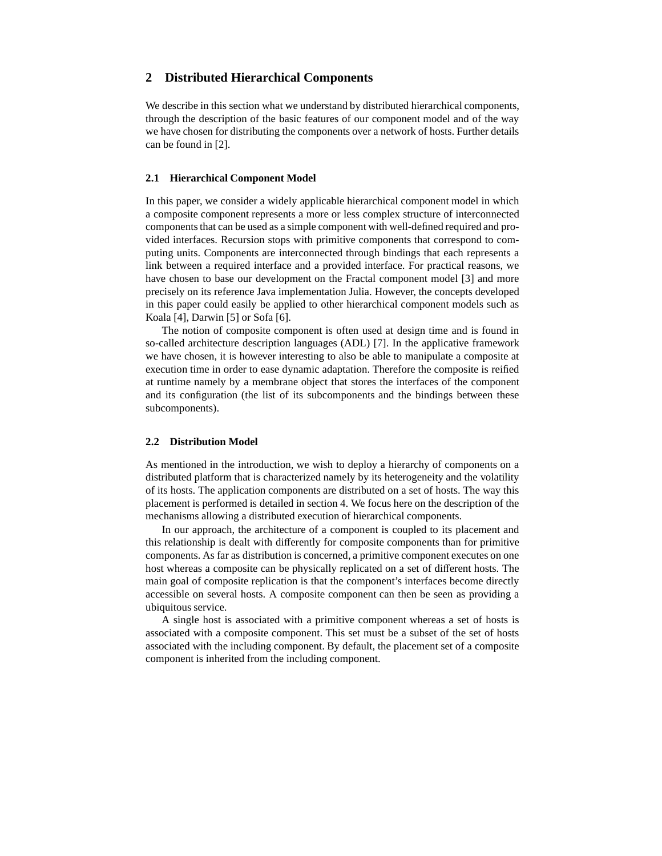# **2 Distributed Hierarchical Components**

We describe in this section what we understand by distributed hierarchical components, through the description of the basic features of our component model and of the way we have chosen for distributing the components over a network of hosts. Further details can be found in [2].

#### **2.1 Hierarchical Component Model**

In this paper, we consider a widely applicable hierarchical component model in which a composite component represents a more or less complex structure of interconnected components that can be used as a simple component with well-defined required and provided interfaces. Recursion stops with primitive components that correspond to computing units. Components are interconnected through bindings that each represents a link between a required interface and a provided interface. For practical reasons, we have chosen to base our development on the Fractal component model [3] and more precisely on its reference Java implementation Julia. However, the concepts developed in this paper could easily be applied to other hierarchical component models such as Koala [4], Darwin [5] or Sofa [6].

The notion of composite component is often used at design time and is found in so-called architecture description languages (ADL) [7]. In the applicative framework we have chosen, it is however interesting to also be able to manipulate a composite at execution time in order to ease dynamic adaptation. Therefore the composite is reified at runtime namely by a membrane object that stores the interfaces of the component and its configuration (the list of its subcomponents and the bindings between these subcomponents).

#### **2.2 Distribution Model**

As mentioned in the introduction, we wish to deploy a hierarchy of components on a distributed platform that is characterized namely by its heterogeneity and the volatility of its hosts. The application components are distributed on a set of hosts. The way this placement is performed is detailed in section 4. We focus here on the description of the mechanisms allowing a distributed execution of hierarchical components.

In our approach, the architecture of a component is coupled to its placement and this relationship is dealt with differently for composite components than for primitive components. As far as distribution is concerned, a primitive component executes on one host whereas a composite can be physically replicated on a set of different hosts. The main goal of composite replication is that the component's interfaces become directly accessible on several hosts. A composite component can then be seen as providing a ubiquitous service.

A single host is associated with a primitive component whereas a set of hosts is associated with a composite component. This set must be a subset of the set of hosts associated with the including component. By default, the placement set of a composite component is inherited from the including component.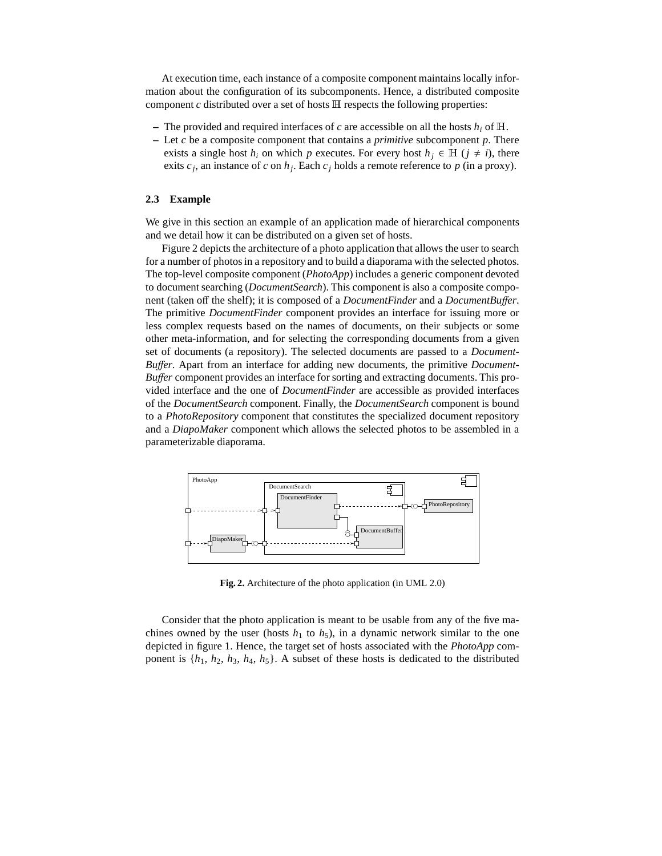At execution time, each instance of a composite component maintains locally information about the configuration of its subcomponents. Hence, a distributed composite component  $c$  distributed over a set of hosts  $H$  respects the following properties:

- **–** The provided and required interfaces of *c* are accessible on all the hosts *h<sup>i</sup>* of .
- **–** Let *c* be a composite component that contains a *primitive* subcomponent *p*. There exists a single host  $h_i$  on which  $p$  executes. For every host  $h_j \in \mathbb{H}$  ( $j \neq i$ ), there exits  $c_j$ , an instance of  $c$  on  $h_j$ . Each  $c_j$  holds a remote reference to  $p$  (in a proxy).

#### **2.3 Example**

We give in this section an example of an application made of hierarchical components and we detail how it can be distributed on a given set of hosts.

Figure 2 depicts the architecture of a photo application that allows the user to search for a number of photos in a repository and to build a diaporama with the selected photos. The top-level composite component (*PhotoApp*) includes a generic component devoted to document searching (*DocumentSearch*). This component is also a composite component (taken off the shelf); it is composed of a *DocumentFinder* and a *DocumentBu*ff*er*. The primitive *DocumentFinder* component provides an interface for issuing more or less complex requests based on the names of documents, on their subjects or some other meta-information, and for selecting the corresponding documents from a given set of documents (a repository). The selected documents are passed to a *Document-Bu*ff*er*. Apart from an interface for adding new documents, the primitive *Document-Buffer* component provides an interface for sorting and extracting documents. This provided interface and the one of *DocumentFinder* are accessible as provided interfaces of the *DocumentSearch* component. Finally, the *DocumentSearch* component is bound to a *PhotoRepository* component that constitutes the specialized document repository and a *DiapoMaker* component which allows the selected photos to be assembled in a parameterizable diaporama.



**Fig. 2.** Architecture of the photo application (in UML 2.0)

Consider that the photo application is meant to be usable from any of the five machines owned by the user (hosts  $h_1$  to  $h_5$ ), in a dynamic network similar to the one depicted in figure 1. Hence, the target set of hosts associated with the *PhotoApp* component is  $\{h_1, h_2, h_3, h_4, h_5\}$ . A subset of these hosts is dedicated to the distributed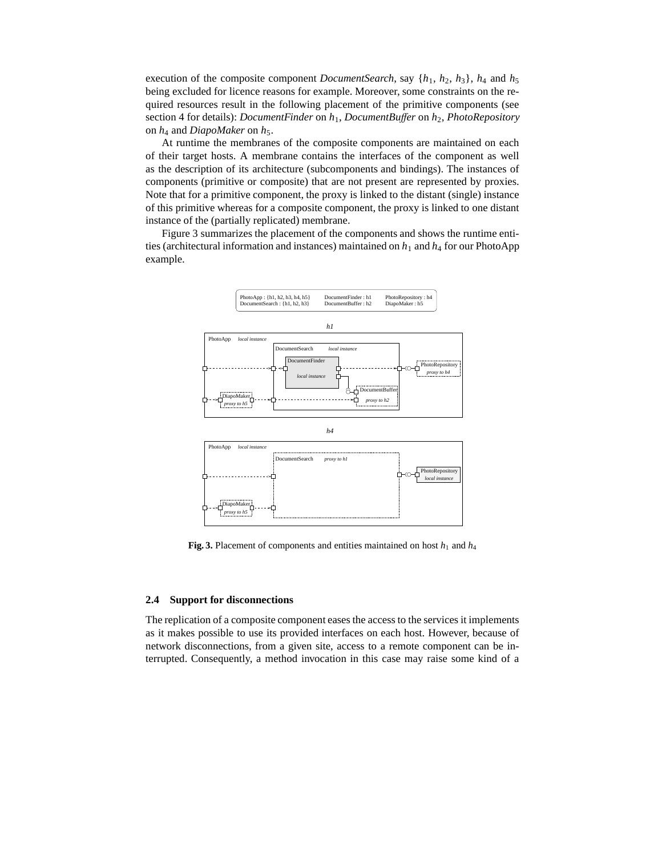execution of the composite component *DocumentSearch*, say  $\{h_1, h_2, h_3\}$ ,  $h_4$  and  $h_5$ being excluded for licence reasons for example. Moreover, some constraints on the required resources result in the following placement of the primitive components (see section 4 for details): *DocumentFinder* on *h*1, *DocumentBu*ff*er* on *h*2, *PhotoRepository* on *h*<sup>4</sup> and *DiapoMaker* on *h*5.

At runtime the membranes of the composite components are maintained on each of their target hosts. A membrane contains the interfaces of the component as well as the description of its architecture (subcomponents and bindings). The instances of components (primitive or composite) that are not present are represented by proxies. Note that for a primitive component, the proxy is linked to the distant (single) instance of this primitive whereas for a composite component, the proxy is linked to one distant instance of the (partially replicated) membrane.

Figure 3 summarizes the placement of the components and shows the runtime entities (architectural information and instances) maintained on *h*<sup>1</sup> and *h*<sup>4</sup> for our PhotoApp example.



**Fig. 3.** Placement of components and entities maintained on host  $h_1$  and  $h_4$ 

### **2.4 Support for disconnections**

The replication of a composite component eases the access to the services it implements as it makes possible to use its provided interfaces on each host. However, because of network disconnections, from a given site, access to a remote component can be interrupted. Consequently, a method invocation in this case may raise some kind of a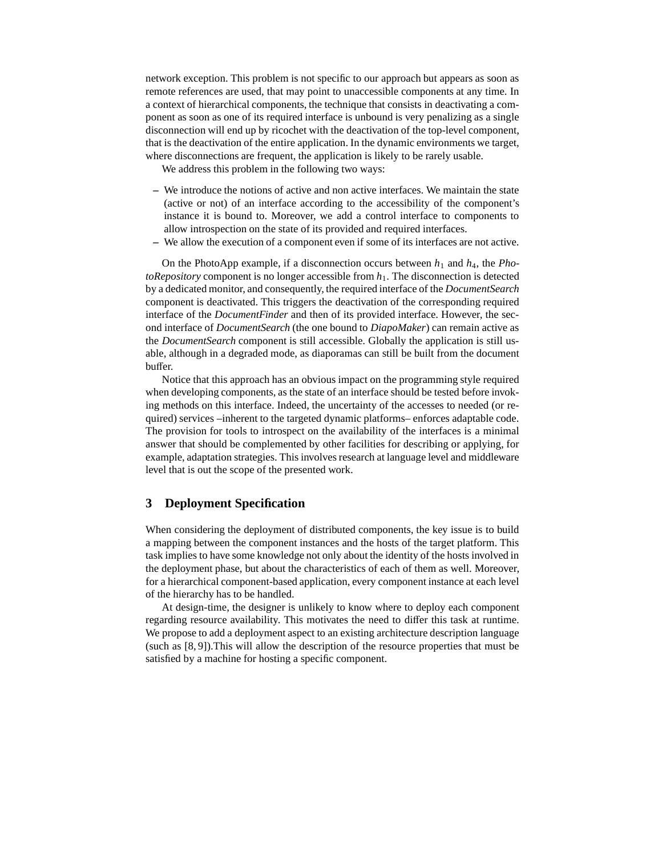network exception. This problem is not specific to our approach but appears as soon as remote references are used, that may point to unaccessible components at any time. In a context of hierarchical components, the technique that consists in deactivating a component as soon as one of its required interface is unbound is very penalizing as a single disconnection will end up by ricochet with the deactivation of the top-level component, that is the deactivation of the entire application. In the dynamic environments we target, where disconnections are frequent, the application is likely to be rarely usable.

We address this problem in the following two ways:

- **–** We introduce the notions of active and non active interfaces. We maintain the state (active or not) of an interface according to the accessibility of the component's instance it is bound to. Moreover, we add a control interface to components to allow introspection on the state of its provided and required interfaces.
- **–** We allow the execution of a component even if some of its interfaces are not active.

On the PhotoApp example, if a disconnection occurs between  $h_1$  and  $h_4$ , the *PhotoRepository* component is no longer accessible from *h*1. The disconnection is detected by a dedicated monitor, and consequently, the required interface of the *DocumentSearch* component is deactivated. This triggers the deactivation of the corresponding required interface of the *DocumentFinder* and then of its provided interface. However, the second interface of *DocumentSearch* (the one bound to *DiapoMaker*) can remain active as the *DocumentSearch* component is still accessible. Globally the application is still usable, although in a degraded mode, as diaporamas can still be built from the document buffer.

Notice that this approach has an obvious impact on the programming style required when developing components, as the state of an interface should be tested before invoking methods on this interface. Indeed, the uncertainty of the accesses to needed (or required) services –inherent to the targeted dynamic platforms– enforces adaptable code. The provision for tools to introspect on the availability of the interfaces is a minimal answer that should be complemented by other facilities for describing or applying, for example, adaptation strategies. This involves research at language level and middleware level that is out the scope of the presented work.

## **3 Deployment Specification**

When considering the deployment of distributed components, the key issue is to build a mapping between the component instances and the hosts of the target platform. This task implies to have some knowledge not only about the identity of the hosts involved in the deployment phase, but about the characteristics of each of them as well. Moreover, for a hierarchical component-based application, every component instance at each level of the hierarchy has to be handled.

At design-time, the designer is unlikely to know where to deploy each component regarding resource availability. This motivates the need to differ this task at runtime. We propose to add a deployment aspect to an existing architecture description language (such as [8, 9]).This will allow the description of the resource properties that must be satisfied by a machine for hosting a specific component.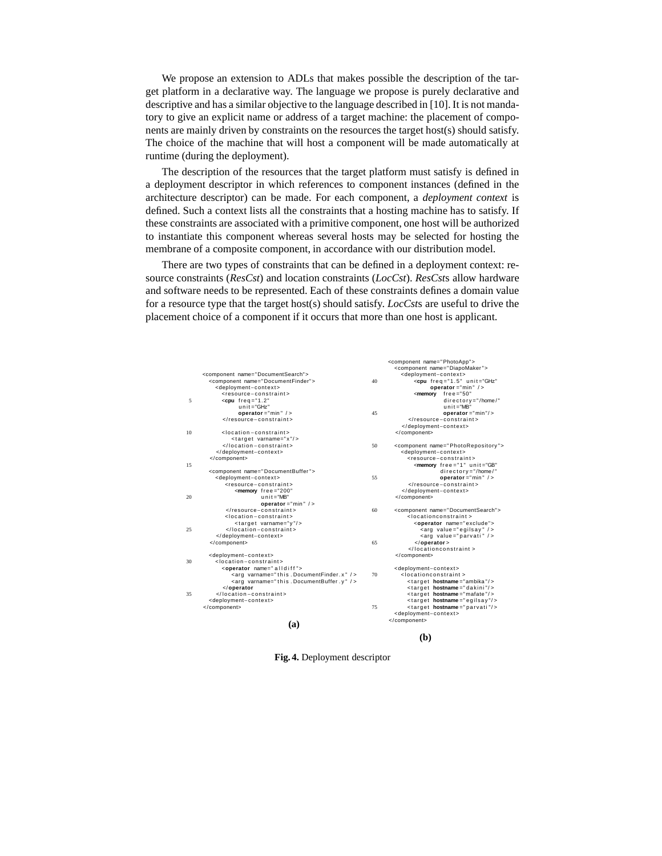We propose an extension to ADLs that makes possible the description of the target platform in a declarative way. The language we propose is purely declarative and descriptive and has a similar objective to the language described in [10]. It is not mandatory to give an explicit name or address of a target machine: the placement of components are mainly driven by constraints on the resources the target host(s) should satisfy. The choice of the machine that will host a component will be made automatically at runtime (during the deployment).

The description of the resources that the target platform must satisfy is defined in a deployment descriptor in which references to component instances (defined in the architecture descriptor) can be made. For each component, a *deployment context* is defined. Such a context lists all the constraints that a hosting machine has to satisfy. If these constraints are associated with a primitive component, one host will be authorized to instantiate this component whereas several hosts may be selected for hosting the membrane of a composite component, in accordance with our distribution model.

There are two types of constraints that can be defined in a deployment context: resource constraints (*ResCst*) and location constraints (*LocCst*). *ResCst*s allow hardware and software needs to be represented. Each of these constraints defines a domain value for a resource type that the target host(s) should satisfy. *LocCst*s are useful to drive the placement choice of a component if it occurs that more than one host is applicant.

|    | <component name="DocumentSearch"><br/><component name="DocumentFinder"></component></component> | 40 | <component name="DiapoMaker"><br/><deployment-context><br/><cpu <="" freq="1.5" th="" unit="GHz"></cpu></deployment-context></component> |
|----|-------------------------------------------------------------------------------------------------|----|------------------------------------------------------------------------------------------------------------------------------------------|
|    | <deployment-context></deployment-context>                                                       |    | operator =" $min"$ />                                                                                                                    |
|    | <resource-constraint></resource-constraint>                                                     |    | $free="50"$<br><memory< td=""></memory<>                                                                                                 |
| 5  | $<$ cpu freq="1.2"                                                                              |    | $directory = "/home/"$                                                                                                                   |
|    | $unit="GHz"$                                                                                    |    | $unit="MB"$                                                                                                                              |
|    | operator = "min" $/$ >                                                                          | 45 | operator = " $min$ "/>                                                                                                                   |
|    | $\le$ /resource-constraint>                                                                     |    |                                                                                                                                          |
|    |                                                                                                 |    |                                                                                                                                          |
| 10 | <location-constraint></location-constraint>                                                     |    |                                                                                                                                          |
|    | <target varname="x"></target>                                                                   |    |                                                                                                                                          |
|    |                                                                                                 | 50 | <component name="PhotoRepository"></component>                                                                                           |
|    |                                                                                                 |    | <deployment-context></deployment-context>                                                                                                |
|    |                                                                                                 |    | <resource-constraint></resource-constraint>                                                                                              |
| 15 |                                                                                                 |    | <memory <="" free="1" td="" unit="GB"></memory>                                                                                          |
|    | <component name="DocumentBuffer"></component>                                                   |    | $director y = "home,"$                                                                                                                   |
|    | <deployment-context></deployment-context>                                                       | 55 | operator =" $min"$ />                                                                                                                    |
|    | <resource-constraint></resource-constraint>                                                     |    |                                                                                                                                          |
|    | $\epsilon$ memory free="200"                                                                    |    |                                                                                                                                          |
| 20 | $unit="MB"$                                                                                     |    |                                                                                                                                          |
|    | operator =" $min"$ />                                                                           |    |                                                                                                                                          |
|    | $\epsilon$ /resource-constraint>                                                                | 60 | <component name="DocumentSearch"></component>                                                                                            |
|    | <location-constraint></location-constraint>                                                     |    | <locationconstraint></locationconstraint>                                                                                                |
|    | <target varname="y"></target>                                                                   |    | <operator name="exclude"></operator>                                                                                                     |
| 25 |                                                                                                 |    | <arg value="egilsay"></arg>                                                                                                              |
|    |                                                                                                 |    | <arg value="parvati"></arg>                                                                                                              |
|    |                                                                                                 | 65 | $<$ /operator >                                                                                                                          |
|    |                                                                                                 |    |                                                                                                                                          |
|    | <deployment-context></deployment-context>                                                       |    |                                                                                                                                          |
| 30 | <location-constraint></location-constraint>                                                     |    |                                                                                                                                          |
|    | <operator name="alldiff"></operator>                                                            |    | <deployment-context></deployment-context>                                                                                                |
|    | <arg varname="this.DocumentFinder.x"></arg>                                                     | 70 | <locationconstraint></locationconstraint>                                                                                                |
|    | <arg varname="this.DocumentBuffer.y"></arg>                                                     |    | <target hostname="ambika"></target>                                                                                                      |
|    | <td></td> <td><target hostname="dakini"></target></td>                                          |    | <target hostname="dakini"></target>                                                                                                      |
| 35 | $\epsilon$ /location-constraint>                                                                |    | <target hostname="mafate"></target>                                                                                                      |
|    | <deployment-context></deployment-context>                                                       |    | <target hostname="egilsay"></target>                                                                                                     |
|    |                                                                                                 | 75 | <target hostname="parvati"></target>                                                                                                     |
|    |                                                                                                 |    | <deployment-context></deployment-context>                                                                                                |
|    | (a)                                                                                             |    |                                                                                                                                          |
|    |                                                                                                 |    |                                                                                                                                          |

**(b)**

**Fig. 4.** Deployment descriptor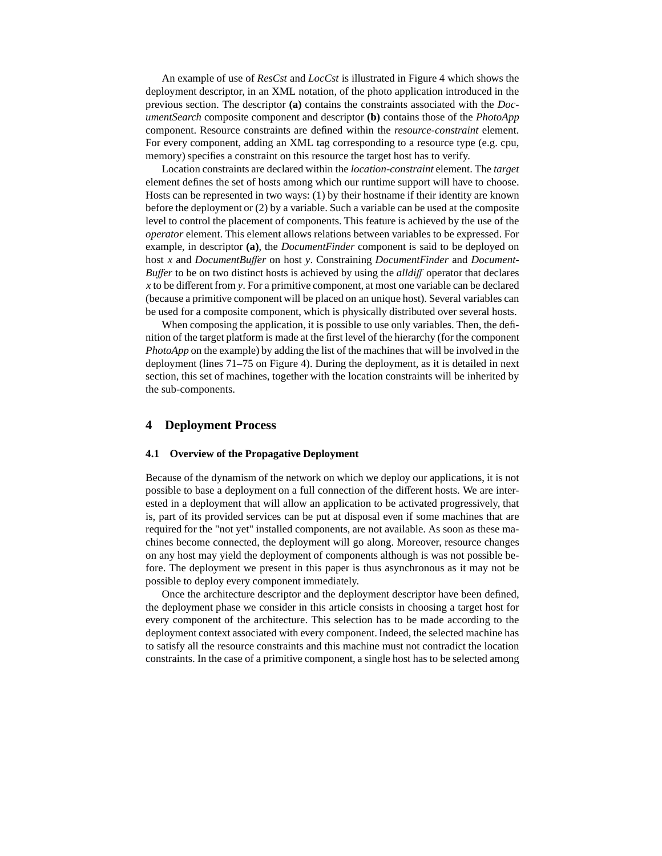An example of use of *ResCst* and *LocCst* is illustrated in Figure 4 which shows the deployment descriptor, in an XML notation, of the photo application introduced in the previous section. The descriptor **(a)** contains the constraints associated with the *DocumentSearch* composite component and descriptor **(b)** contains those of the *PhotoApp* component. Resource constraints are defined within the *resource-constraint* element. For every component, adding an XML tag corresponding to a resource type (e.g. cpu, memory) specifies a constraint on this resource the target host has to verify.

Location constraints are declared within the *location-constraint* element. The *target* element defines the set of hosts among which our runtime support will have to choose. Hosts can be represented in two ways: (1) by their hostname if their identity are known before the deployment or (2) by a variable. Such a variable can be used at the composite level to control the placement of components. This feature is achieved by the use of the *operator* element. This element allows relations between variables to be expressed. For example, in descriptor **(a)**, the *DocumentFinder* component is said to be deployed on host *x* and *DocumentBu*ff*er* on host *y*. Constraining *DocumentFinder* and *Document-Bu*ff*er* to be on two distinct hosts is achieved by using the *alldi*ff operator that declares *x* to be different from *y*. For a primitive component, at most one variable can be declared (because a primitive component will be placed on an unique host). Several variables can be used for a composite component, which is physically distributed over several hosts.

When composing the application, it is possible to use only variables. Then, the definition of the target platform is made at the first level of the hierarchy (for the component *PhotoApp* on the example) by adding the list of the machines that will be involved in the deployment (lines 71–75 on Figure 4). During the deployment, as it is detailed in next section, this set of machines, together with the location constraints will be inherited by the sub-components.

## **4 Deployment Process**

#### **4.1 Overview of the Propagative Deployment**

Because of the dynamism of the network on which we deploy our applications, it is not possible to base a deployment on a full connection of the different hosts. We are interested in a deployment that will allow an application to be activated progressively, that is, part of its provided services can be put at disposal even if some machines that are required for the "not yet" installed components, are not available. As soon as these machines become connected, the deployment will go along. Moreover, resource changes on any host may yield the deployment of components although is was not possible before. The deployment we present in this paper is thus asynchronous as it may not be possible to deploy every component immediately.

Once the architecture descriptor and the deployment descriptor have been defined, the deployment phase we consider in this article consists in choosing a target host for every component of the architecture. This selection has to be made according to the deployment context associated with every component. Indeed, the selected machine has to satisfy all the resource constraints and this machine must not contradict the location constraints. In the case of a primitive component, a single host has to be selected among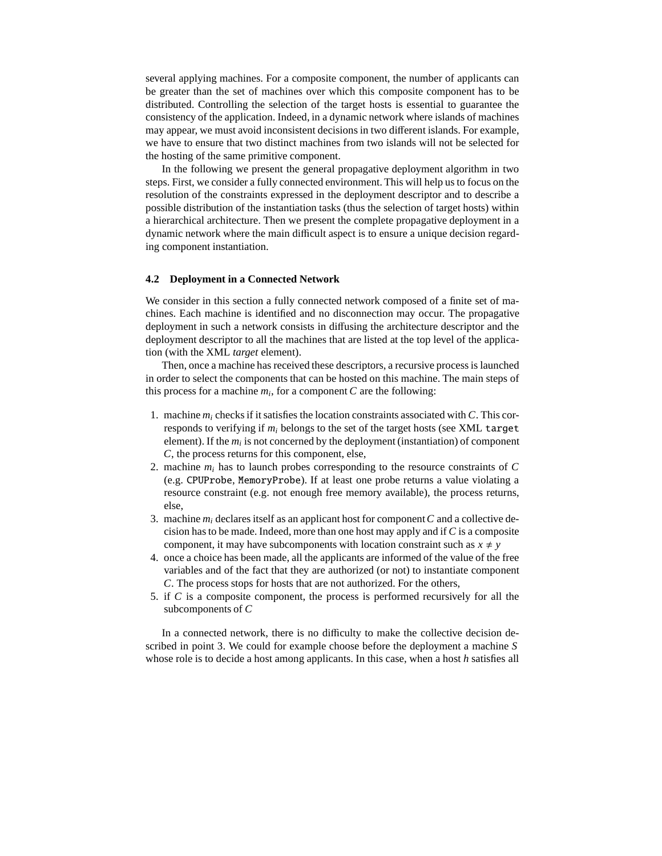several applying machines. For a composite component, the number of applicants can be greater than the set of machines over which this composite component has to be distributed. Controlling the selection of the target hosts is essential to guarantee the consistency of the application. Indeed, in a dynamic network where islands of machines may appear, we must avoid inconsistent decisions in two different islands. For example, we have to ensure that two distinct machines from two islands will not be selected for the hosting of the same primitive component.

In the following we present the general propagative deployment algorithm in two steps. First, we consider a fully connected environment. This will help us to focus on the resolution of the constraints expressed in the deployment descriptor and to describe a possible distribution of the instantiation tasks (thus the selection of target hosts) within a hierarchical architecture. Then we present the complete propagative deployment in a dynamic network where the main difficult aspect is to ensure a unique decision regarding component instantiation.

#### **4.2 Deployment in a Connected Network**

We consider in this section a fully connected network composed of a finite set of machines. Each machine is identified and no disconnection may occur. The propagative deployment in such a network consists in diffusing the architecture descriptor and the deployment descriptor to all the machines that are listed at the top level of the application (with the XML *target* element).

Then, once a machine has received these descriptors, a recursive process is launched in order to select the components that can be hosted on this machine. The main steps of this process for a machine  $m_i$ , for a component  $C$  are the following:

- 1. machine *m<sup>i</sup>* checks if it satisfies the location constraints associated with *C*. This corresponds to verifying if *m<sup>i</sup>* belongs to the set of the target hosts (see XML target element). If the *m<sup>i</sup>* is not concerned by the deployment (instantiation) of component *C*, the process returns for this component, else,
- 2. machine *m<sup>i</sup>* has to launch probes corresponding to the resource constraints of *C* (e.g. CPUProbe, MemoryProbe). If at least one probe returns a value violating a resource constraint (e.g. not enough free memory available), the process returns, else,
- 3. machine *m<sup>i</sup>* declares itself as an applicant host for component*C* and a collective decision has to be made. Indeed, more than one host may apply and if *C* is a composite component, it may have subcomponents with location constraint such as  $x \neq y$
- 4. once a choice has been made, all the applicants are informed of the value of the free variables and of the fact that they are authorized (or not) to instantiate component *C*. The process stops for hosts that are not authorized. For the others,
- 5. if *C* is a composite component, the process is performed recursively for all the subcomponents of *C*

In a connected network, there is no difficulty to make the collective decision described in point 3. We could for example choose before the deployment a machine *S* whose role is to decide a host among applicants. In this case, when a host *h* satisfies all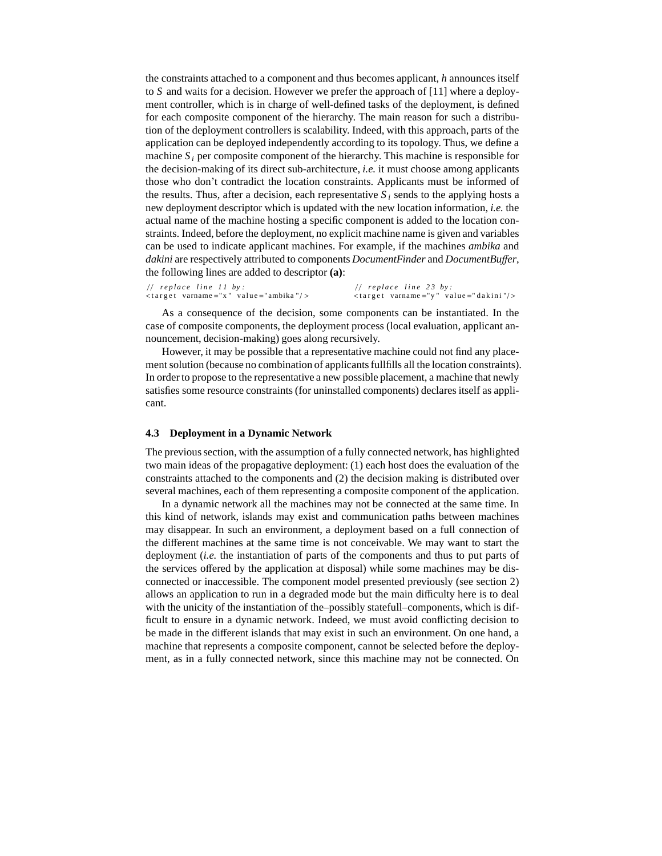the constraints attached to a component and thus becomes applicant, *h* announces itself to *S* and waits for a decision. However we prefer the approach of [11] where a deployment controller, which is in charge of well-defined tasks of the deployment, is defined for each composite component of the hierarchy. The main reason for such a distribution of the deployment controllers is scalability. Indeed, with this approach, parts of the application can be deployed independently according to its topology. Thus, we define a machine  $S_i$  per composite component of the hierarchy. This machine is responsible for the decision-making of its direct sub-architecture, *i.e.* it must choose among applicants those who don't contradict the location constraints. Applicants must be informed of the results. Thus, after a decision, each representative  $S_i$  sends to the applying hosts a new deployment descriptor which is updated with the new location information, *i.e.* the actual name of the machine hosting a specific component is added to the location constraints. Indeed, before the deployment, no explicit machine name is given and variables can be used to indicate applicant machines. For example, if the machines *ambika* and *dakini* are respectively attributed to components *DocumentFinder* and *DocumentBu*ff*er*, the following lines are added to descriptor **(a)**:

// replace line 11 by:<br>
<target varname="x" value="ambika"/> <target varname="y" value="dakini"/>  $\langle$  t a r g e t varname ="x" value ="ambika"/>

As a consequence of the decision, some components can be instantiated. In the case of composite components, the deployment process (local evaluation, applicant announcement, decision-making) goes along recursively.

However, it may be possible that a representative machine could not find any placement solution (because no combination of applicants fullfills all the location constraints). In order to propose to the representative a new possible placement, a machine that newly satisfies some resource constraints (for uninstalled components) declares itself as applicant.

#### **4.3 Deployment in a Dynamic Network**

The previous section, with the assumption of a fully connected network, has highlighted two main ideas of the propagative deployment: (1) each host does the evaluation of the constraints attached to the components and (2) the decision making is distributed over several machines, each of them representing a composite component of the application.

In a dynamic network all the machines may not be connected at the same time. In this kind of network, islands may exist and communication paths between machines may disappear. In such an environment, a deployment based on a full connection of the different machines at the same time is not conceivable. We may want to start the deployment (*i.e.* the instantiation of parts of the components and thus to put parts of the services offered by the application at disposal) while some machines may be disconnected or inaccessible. The component model presented previously (see section 2) allows an application to run in a degraded mode but the main difficulty here is to deal with the unicity of the instantiation of the–possibly statefull–components, which is difficult to ensure in a dynamic network. Indeed, we must avoid conflicting decision to be made in the different islands that may exist in such an environment. On one hand, a machine that represents a composite component, cannot be selected before the deployment, as in a fully connected network, since this machine may not be connected. On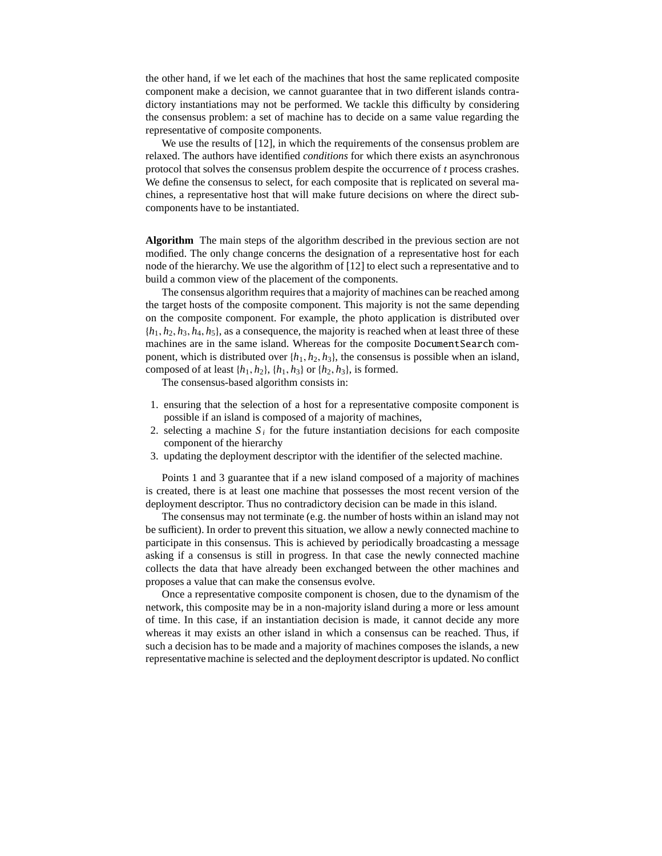the other hand, if we let each of the machines that host the same replicated composite component make a decision, we cannot guarantee that in two different islands contradictory instantiations may not be performed. We tackle this difficulty by considering the consensus problem: a set of machine has to decide on a same value regarding the representative of composite components.

We use the results of [12], in which the requirements of the consensus problem are relaxed. The authors have identified *conditions* for which there exists an asynchronous protocol that solves the consensus problem despite the occurrence of *t* process crashes. We define the consensus to select, for each composite that is replicated on several machines, a representative host that will make future decisions on where the direct subcomponents have to be instantiated.

**Algorithm** The main steps of the algorithm described in the previous section are not modified. The only change concerns the designation of a representative host for each node of the hierarchy. We use the algorithm of [12] to elect such a representative and to build a common view of the placement of the components.

The consensus algorithm requires that a majority of machines can be reached among the target hosts of the composite component. This majority is not the same depending on the composite component. For example, the photo application is distributed over  $\{h_1, h_2, h_3, h_4, h_5\}$ , as a consequence, the majority is reached when at least three of these machines are in the same island. Whereas for the composite DocumentSearch component, which is distributed over  $\{h_1, h_2, h_3\}$ , the consensus is possible when an island, composed of at least  $\{h_1, h_2\}$ ,  $\{h_1, h_3\}$  or  $\{h_2, h_3\}$ , is formed.

The consensus-based algorithm consists in:

- 1. ensuring that the selection of a host for a representative composite component is possible if an island is composed of a majority of machines,
- 2. selecting a machine  $S_i$  for the future instantiation decisions for each composite component of the hierarchy
- 3. updating the deployment descriptor with the identifier of the selected machine.

Points 1 and 3 guarantee that if a new island composed of a majority of machines is created, there is at least one machine that possesses the most recent version of the deployment descriptor. Thus no contradictory decision can be made in this island.

The consensus may not terminate (e.g. the number of hosts within an island may not be sufficient). In order to prevent this situation, we allow a newly connected machine to participate in this consensus. This is achieved by periodically broadcasting a message asking if a consensus is still in progress. In that case the newly connected machine collects the data that have already been exchanged between the other machines and proposes a value that can make the consensus evolve.

Once a representative composite component is chosen, due to the dynamism of the network, this composite may be in a non-majority island during a more or less amount of time. In this case, if an instantiation decision is made, it cannot decide any more whereas it may exists an other island in which a consensus can be reached. Thus, if such a decision has to be made and a majority of machines composes the islands, a new representative machine is selected and the deployment descriptor is updated. No conflict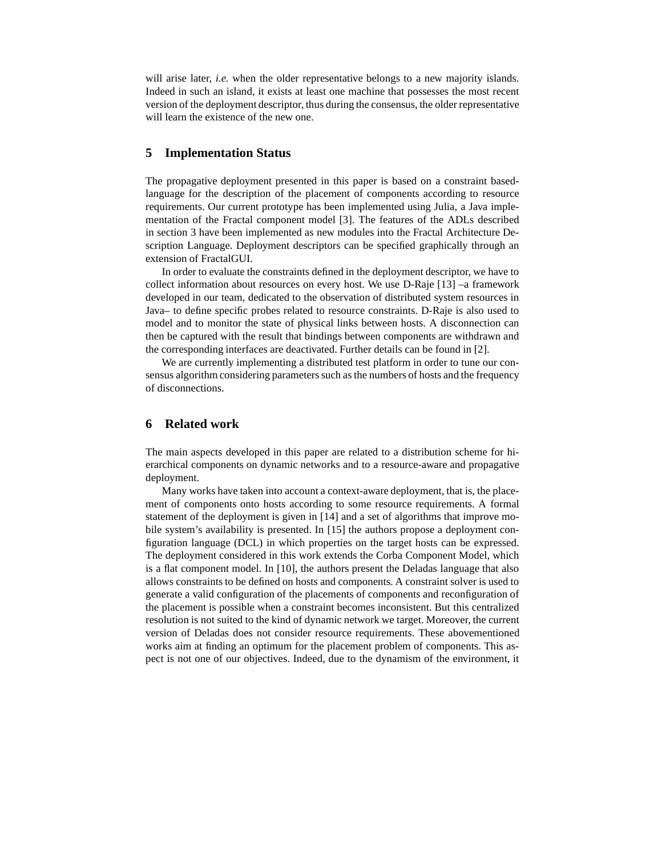will arise later, *i.e.* when the older representative belongs to a new majority islands. Indeed in such an island, it exists at least one machine that possesses the most recent version of the deployment descriptor, thus during the consensus, the older representative will learn the existence of the new one.

## **5 Implementation Status**

The propagative deployment presented in this paper is based on a constraint basedlanguage for the description of the placement of components according to resource requirements. Our current prototype has been implemented using Julia, a Java implementation of the Fractal component model [3]. The features of the ADLs described in section 3 have been implemented as new modules into the Fractal Architecture Description Language. Deployment descriptors can be specified graphically through an extension of FractalGUI.

In order to evaluate the constraints defined in the deployment descriptor, we have to collect information about resources on every host. We use  $D$ -Raje [13] –a framework developed in our team, dedicated to the observation of distributed system resources in Java– to define specific probes related to resource constraints. D-Raje is also used to model and to monitor the state of physical links between hosts. A disconnection can then be captured with the result that bindings between components are withdrawn and the corresponding interfaces are deactivated. Further details can be found in [2].

We are currently implementing a distributed test platform in order to tune our consensus algorithm considering parameters such as the numbers of hosts and the frequency of disconnections.

## **6 Related work**

The main aspects developed in this paper are related to a distribution scheme for hierarchical components on dynamic networks and to a resource-aware and propagative deployment.

Many works have taken into account a context-aware deployment, that is, the placement of components onto hosts according to some resource requirements. A formal statement of the deployment is given in [14] and a set of algorithms that improve mobile system's availability is presented. In [15] the authors propose a deployment configuration language (DCL) in which properties on the target hosts can be expressed. The deployment considered in this work extends the Corba Component Model, which is a flat component model. In [10], the authors present the Deladas language that also allows constraints to be defined on hosts and components. A constraint solver is used to generate a valid configuration of the placements of components and reconfiguration of the placement is possible when a constraint becomes inconsistent. But this centralized resolution is not suited to the kind of dynamic network we target. Moreover, the current version of Deladas does not consider resource requirements. These abovementioned works aim at finding an optimum for the placement problem of components. This aspect is not one of our objectives. Indeed, due to the dynamism of the environment, it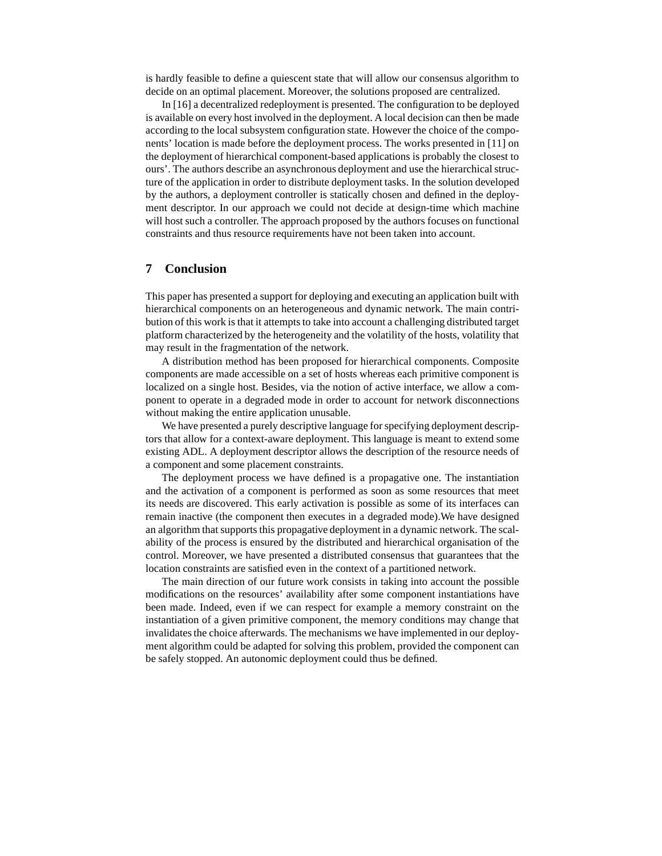is hardly feasible to define a quiescent state that will allow our consensus algorithm to decide on an optimal placement. Moreover, the solutions proposed are centralized.

In [16] a decentralized redeployment is presented. The configuration to be deployed is available on every host involved in the deployment. A local decision can then be made according to the local subsystem configuration state. However the choice of the components' location is made before the deployment process. The works presented in [11] on the deployment of hierarchical component-based applications is probably the closest to ours'. The authors describe an asynchronous deployment and use the hierarchical structure of the application in order to distribute deployment tasks. In the solution developed by the authors, a deployment controller is statically chosen and defined in the deployment descriptor. In our approach we could not decide at design-time which machine will host such a controller. The approach proposed by the authors focuses on functional constraints and thus resource requirements have not been taken into account.

## **7 Conclusion**

This paper has presented a support for deploying and executing an application built with hierarchical components on an heterogeneous and dynamic network. The main contribution of this work is that it attempts to take into account a challenging distributed target platform characterized by the heterogeneity and the volatility of the hosts, volatility that may result in the fragmentation of the network.

A distribution method has been proposed for hierarchical components. Composite components are made accessible on a set of hosts whereas each primitive component is localized on a single host. Besides, via the notion of active interface, we allow a component to operate in a degraded mode in order to account for network disconnections without making the entire application unusable.

We have presented a purely descriptive language for specifying deployment descriptors that allow for a context-aware deployment. This language is meant to extend some existing ADL. A deployment descriptor allows the description of the resource needs of a component and some placement constraints.

The deployment process we have defined is a propagative one. The instantiation and the activation of a component is performed as soon as some resources that meet its needs are discovered. This early activation is possible as some of its interfaces can remain inactive (the component then executes in a degraded mode).We have designed an algorithm that supports this propagative deployment in a dynamic network. The scalability of the process is ensured by the distributed and hierarchical organisation of the control. Moreover, we have presented a distributed consensus that guarantees that the location constraints are satisfied even in the context of a partitioned network.

The main direction of our future work consists in taking into account the possible modifications on the resources' availability after some component instantiations have been made. Indeed, even if we can respect for example a memory constraint on the instantiation of a given primitive component, the memory conditions may change that invalidates the choice afterwards. The mechanisms we have implemented in our deployment algorithm could be adapted for solving this problem, provided the component can be safely stopped. An autonomic deployment could thus be defined.